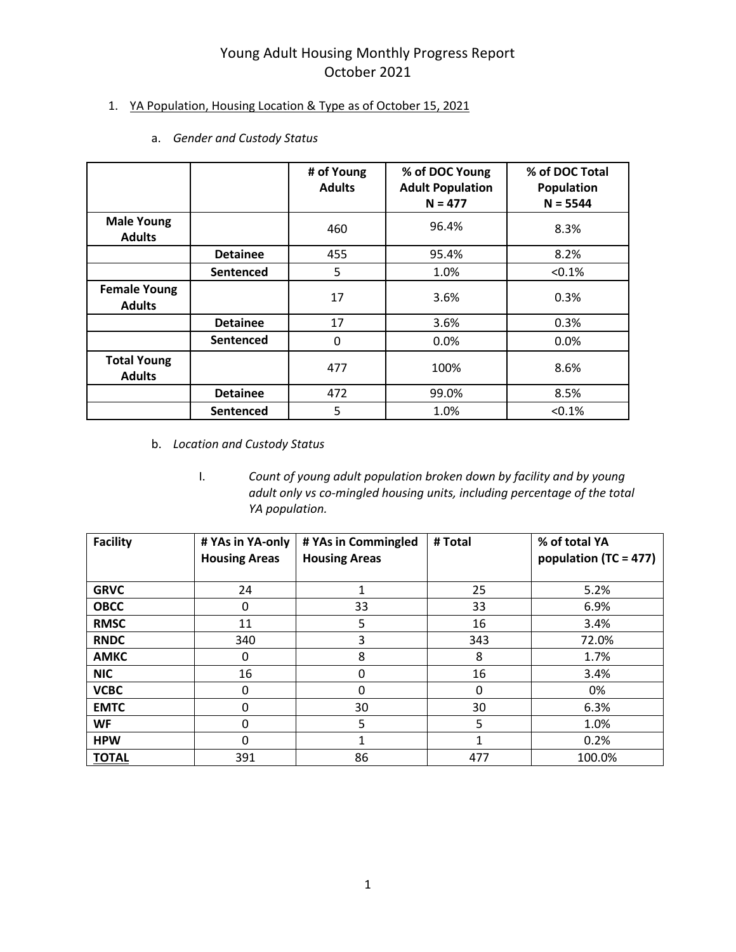#### 1. YA Population, Housing Location & Type as of October 15, 2021

|                                      |                 | # of Young<br><b>Adults</b> | % of DOC Young<br><b>Adult Population</b><br>$N = 477$ | % of DOC Total<br>Population<br>$N = 5544$ |
|--------------------------------------|-----------------|-----------------------------|--------------------------------------------------------|--------------------------------------------|
| <b>Male Young</b><br><b>Adults</b>   |                 | 460                         | 96.4%                                                  | 8.3%                                       |
|                                      | <b>Detainee</b> | 455                         | 95.4%                                                  | 8.2%                                       |
|                                      | Sentenced       | 5                           | 1.0%                                                   | < 0.1%                                     |
| <b>Female Young</b><br><b>Adults</b> |                 | 17                          | 3.6%                                                   | 0.3%                                       |
|                                      | <b>Detainee</b> | 17                          | 3.6%                                                   | 0.3%                                       |
|                                      | Sentenced       | 0                           | 0.0%                                                   | 0.0%                                       |
| <b>Total Young</b><br><b>Adults</b>  |                 | 477                         | 100%                                                   | 8.6%                                       |
|                                      | <b>Detainee</b> | 472                         | 99.0%                                                  | 8.5%                                       |
|                                      | Sentenced       | 5                           | 1.0%                                                   | < 0.1%                                     |

a. *Gender and Custody Status* 

- b. *Location and Custody Status*
	- I. *Count of young adult population broken down by facility and by young adult only vs co-mingled housing units, including percentage of the total YA population.*

| <b>Facility</b> | # YAs in YA-only<br><b>Housing Areas</b> | # YAs in Commingled<br><b>Housing Areas</b> | # Total | % of total YA<br>population (TC = 477) |
|-----------------|------------------------------------------|---------------------------------------------|---------|----------------------------------------|
| <b>GRVC</b>     | 24                                       |                                             | 25      | 5.2%                                   |
| <b>OBCC</b>     | 0                                        | 33                                          | 33      | 6.9%                                   |
| <b>RMSC</b>     | 11                                       | 5                                           | 16      | 3.4%                                   |
| <b>RNDC</b>     | 340                                      | 3                                           | 343     | 72.0%                                  |
| <b>AMKC</b>     | 0                                        | 8                                           | 8       | 1.7%                                   |
| <b>NIC</b>      | 16                                       | 0                                           | 16      | 3.4%                                   |
| <b>VCBC</b>     | 0                                        | 0                                           | 0       | 0%                                     |
| <b>EMTC</b>     | $\mathbf{0}$                             | 30                                          | 30      | 6.3%                                   |
| WF              | 0                                        | 5                                           | 5       | 1.0%                                   |
| <b>HPW</b>      | 0                                        |                                             |         | 0.2%                                   |
| <b>TOTAL</b>    | 391                                      | 86                                          | 477     | 100.0%                                 |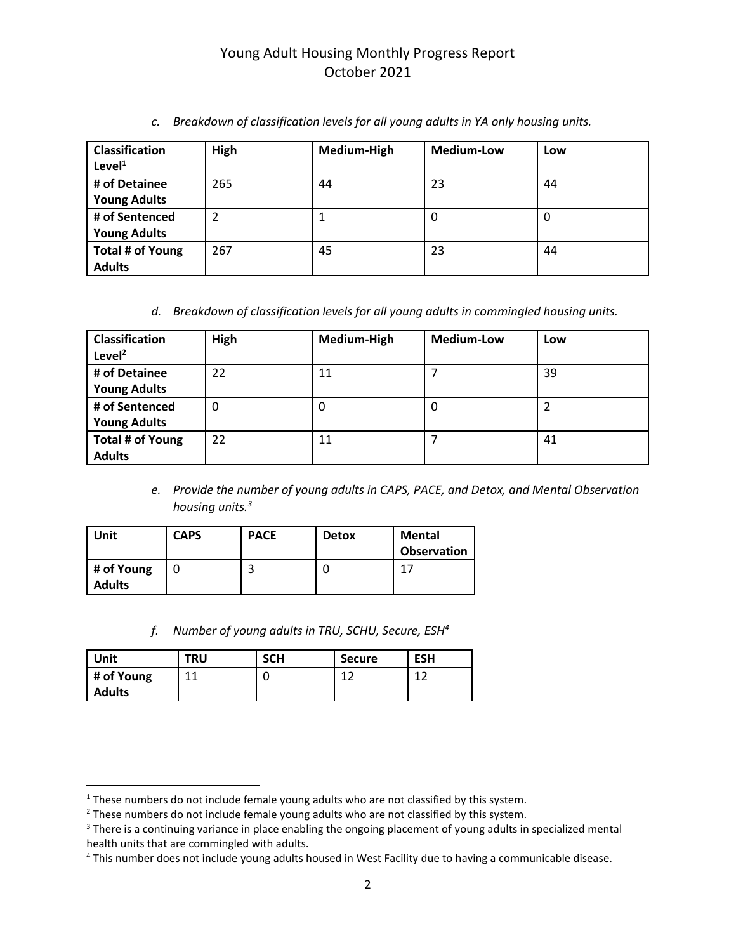| <b>Classification</b><br>Level <sup>1</sup> | High | Medium-High | <b>Medium-Low</b> | Low |
|---------------------------------------------|------|-------------|-------------------|-----|
| # of Detainee                               | 265  | 44          | 23                | 44  |
| <b>Young Adults</b>                         |      |             |                   |     |
| # of Sentenced                              | 2    |             | 0                 | 0   |
| <b>Young Adults</b>                         |      |             |                   |     |
| Total # of Young                            | 267  | 45          | 23                | 44  |
| <b>Adults</b>                               |      |             |                   |     |

*c. Breakdown of classification levels for all young adults in YA only housing units.*

*d. Breakdown of classification levels for all young adults in commingled housing units.*

| <b>Classification</b><br>Level $^2$ | High | Medium-High | <b>Medium-Low</b> | Low |
|-------------------------------------|------|-------------|-------------------|-----|
| # of Detainee                       | 22   | 11          |                   | 39  |
| <b>Young Adults</b>                 |      |             |                   |     |
| # of Sentenced                      | 0    | 0           | 0                 |     |
| <b>Young Adults</b>                 |      |             |                   |     |
| Total # of Young                    | 22   | 11          |                   | 41  |
| <b>Adults</b>                       |      |             |                   |     |

*e. Provide the number of young adults in CAPS, PACE, and Detox, and Mental Observation housing units.<sup>3</sup>*

| Unit                        | <b>CAPS</b> | <b>PACE</b> | <b>Detox</b> | Mental<br><b>Observation</b> |
|-----------------------------|-------------|-------------|--------------|------------------------------|
| # of Young<br><b>Adults</b> |             |             | u            | 17                           |

*f. Number of young adults in TRU, SCHU, Secure, ESH<sup>4</sup>*

| <b>Unit</b>   | <b>TRU</b> | <b>SCH</b> | <b>Secure</b> | <b>ESH</b> |
|---------------|------------|------------|---------------|------------|
| # of Young    | 11         |            | 1.3           | 1.3        |
| <b>Adults</b> |            |            |               |            |

 $\overline{\phantom{a}}$ 

<sup>&</sup>lt;sup>1</sup> These numbers do not include female young adults who are not classified by this system.

 $2$  These numbers do not include female young adults who are not classified by this system.

<sup>&</sup>lt;sup>3</sup> There is a continuing variance in place enabling the ongoing placement of young adults in specialized mental health units that are commingled with adults.

<sup>&</sup>lt;sup>4</sup> This number does not include young adults housed in West Facility due to having a communicable disease.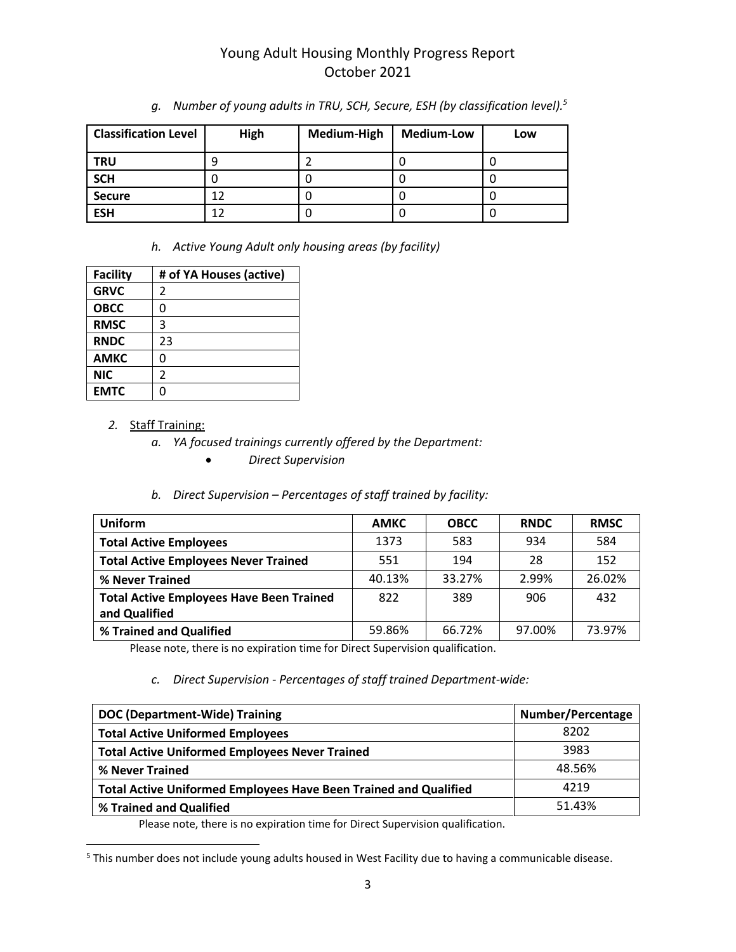| <b>Classification Level</b> | High | Medium-High | <b>Medium-Low</b> | Low |
|-----------------------------|------|-------------|-------------------|-----|
| <b>TRU</b>                  | Ч    |             |                   |     |
| <b>SCH</b>                  |      | U           |                   |     |
| <b>Secure</b>               | 12   |             |                   |     |
| <b>ESH</b>                  | 12   | U           |                   |     |

*g. Number of young adults in TRU, SCH, Secure, ESH (by classification level).<sup>5</sup>*

*h. Active Young Adult only housing areas (by facility)*

| <b>Facility</b> | # of YA Houses (active) |
|-----------------|-------------------------|
| <b>GRVC</b>     | 2                       |
| <b>OBCC</b>     | 0                       |
| <b>RMSC</b>     | 3                       |
| <b>RNDC</b>     | 23                      |
| <b>AMKC</b>     | ი                       |
| <b>NIC</b>      | 2                       |
| <b>EMTC</b>     | በ                       |

#### *2.* Staff Training:

 $\overline{\phantom{a}}$ 

- *a. YA focused trainings currently offered by the Department:*
	- *Direct Supervision*

#### *b. Direct Supervision – Percentages of staff trained by facility:*

| Uniform                                         | <b>AMKC</b> | <b>OBCC</b> | <b>RNDC</b> | <b>RMSC</b> |
|-------------------------------------------------|-------------|-------------|-------------|-------------|
| <b>Total Active Employees</b>                   | 1373        | 583         | 934         | 584         |
| <b>Total Active Employees Never Trained</b>     | 551         | 194         | 28          | 152         |
| % Never Trained                                 | 40.13%      | 33.27%      | 2.99%       | 26.02%      |
| <b>Total Active Employees Have Been Trained</b> | 822         | 389         | 906         | 432         |
| and Qualified                                   |             |             |             |             |
| % Trained and Qualified                         | 59.86%      | 66.72%      | 97.00%      | 73.97%      |

Please note, there is no expiration time for Direct Supervision qualification.

#### *c. Direct Supervision - Percentages of staff trained Department-wide:*

| <b>DOC (Department-Wide) Training</b>                                   | <b>Number/Percentage</b> |
|-------------------------------------------------------------------------|--------------------------|
| <b>Total Active Uniformed Employees</b>                                 | 8202                     |
| <b>Total Active Uniformed Employees Never Trained</b>                   | 3983                     |
| % Never Trained                                                         | 48.56%                   |
| <b>Total Active Uniformed Employees Have Been Trained and Qualified</b> | 4219                     |
| % Trained and Qualified                                                 | 51.43%                   |

Please note, there is no expiration time for Direct Supervision qualification.

<sup>&</sup>lt;sup>5</sup> This number does not include young adults housed in West Facility due to having a communicable disease.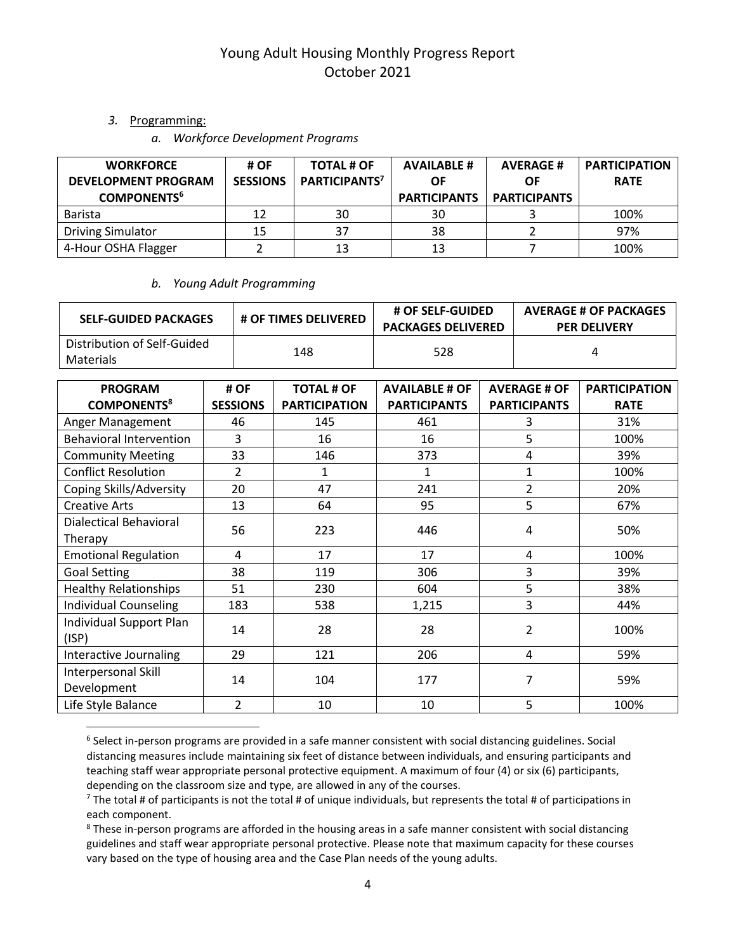#### *3.* Programming:

 $\overline{\phantom{a}}$ 

*a. Workforce Development Programs*

| <b>WORKFORCE</b><br><b>DEVELOPMENT PROGRAM</b><br><b>COMPONENTS<sup>6</sup></b> | # OF<br><b>SESSIONS</b> | <b>TOTAL # OF</b><br>PARTICIPANTS <sup>7</sup> | <b>AVAILABLE #</b><br>ΟF<br><b>PARTICIPANTS</b> | <b>AVERAGE#</b><br>OF.<br><b>PARTICIPANTS</b> | <b>PARTICIPATION</b><br><b>RATE</b> |
|---------------------------------------------------------------------------------|-------------------------|------------------------------------------------|-------------------------------------------------|-----------------------------------------------|-------------------------------------|
| Barista                                                                         | 12                      | 30                                             | 30                                              |                                               | 100%                                |
| <b>Driving Simulator</b>                                                        | 15                      | 37                                             | 38                                              |                                               | 97%                                 |
| 4-Hour OSHA Flagger                                                             |                         | 13                                             | 13                                              |                                               | 100%                                |

#### *b. Young Adult Programming*

| <b>SELF-GUIDED PACKAGES</b>              | <b># OF TIMES DELIVERED</b> | <b># OF SELF-GUIDED</b><br><b>PACKAGES DELIVERED</b> | <b>AVERAGE # OF PACKAGES</b><br><b>PER DELIVERY</b> |
|------------------------------------------|-----------------------------|------------------------------------------------------|-----------------------------------------------------|
| Distribution of Self-Guided<br>Materials | 148                         | 528                                                  |                                                     |

| <b>PROGRAM</b><br><b>COMPONENTS<sup>8</sup></b> | # OF<br><b>SESSIONS</b> | <b>TOTAL # OF</b><br><b>PARTICIPATION</b> | <b>AVAILABLE # OF</b><br><b>PARTICIPANTS</b> | <b>AVERAGE # OF</b><br><b>PARTICIPANTS</b> | <b>PARTICIPATION</b><br><b>RATE</b> |
|-------------------------------------------------|-------------------------|-------------------------------------------|----------------------------------------------|--------------------------------------------|-------------------------------------|
| Anger Management                                | 46                      | 145                                       | 461                                          | 3                                          | 31%                                 |
| <b>Behavioral Intervention</b>                  | 3                       | 16                                        | 16                                           | 5                                          | 100%                                |
| <b>Community Meeting</b>                        | 33                      | 146                                       | 373                                          | 4                                          | 39%                                 |
| <b>Conflict Resolution</b>                      | 2                       | 1                                         | 1                                            | 1                                          | 100%                                |
| Coping Skills/Adversity                         | 20                      | 47                                        | 241                                          | $\overline{2}$                             | 20%                                 |
| <b>Creative Arts</b>                            | 13                      | 64                                        | 95                                           | 5                                          | 67%                                 |
| <b>Dialectical Behavioral</b><br>Therapy        | 56                      | 223                                       | 446                                          | 4                                          | 50%                                 |
| <b>Emotional Regulation</b>                     | 4                       | 17                                        | 17                                           | 4                                          | 100%                                |
| <b>Goal Setting</b>                             | 38                      | 119                                       | 306                                          | 3                                          | 39%                                 |
| <b>Healthy Relationships</b>                    | 51                      | 230                                       | 604                                          | 5                                          | 38%                                 |
| <b>Individual Counseling</b>                    | 183                     | 538                                       | 1,215                                        | 3                                          | 44%                                 |
| Individual Support Plan<br>(ISP)                | 14                      | 28                                        | 28                                           | 2                                          | 100%                                |
| Interactive Journaling                          | 29                      | 121                                       | 206                                          | 4                                          | 59%                                 |
| Interpersonal Skill<br>Development              | 14                      | 104                                       | 177                                          | 7                                          | 59%                                 |
| Life Style Balance                              | $\overline{2}$          | 10                                        | 10                                           | 5                                          | 100%                                |

<sup>6</sup> Select in-person programs are provided in a safe manner consistent with social distancing guidelines. Social distancing measures include maintaining six feet of distance between individuals, and ensuring participants and teaching staff wear appropriate personal protective equipment. A maximum of four (4) or six (6) participants, depending on the classroom size and type, are allowed in any of the courses.

 $7$  The total # of participants is not the total # of unique individuals, but represents the total # of participations in each component.

<sup>8</sup> These in-person programs are afforded in the housing areas in a safe manner consistent with social distancing guidelines and staff wear appropriate personal protective. Please note that maximum capacity for these courses vary based on the type of housing area and the Case Plan needs of the young adults.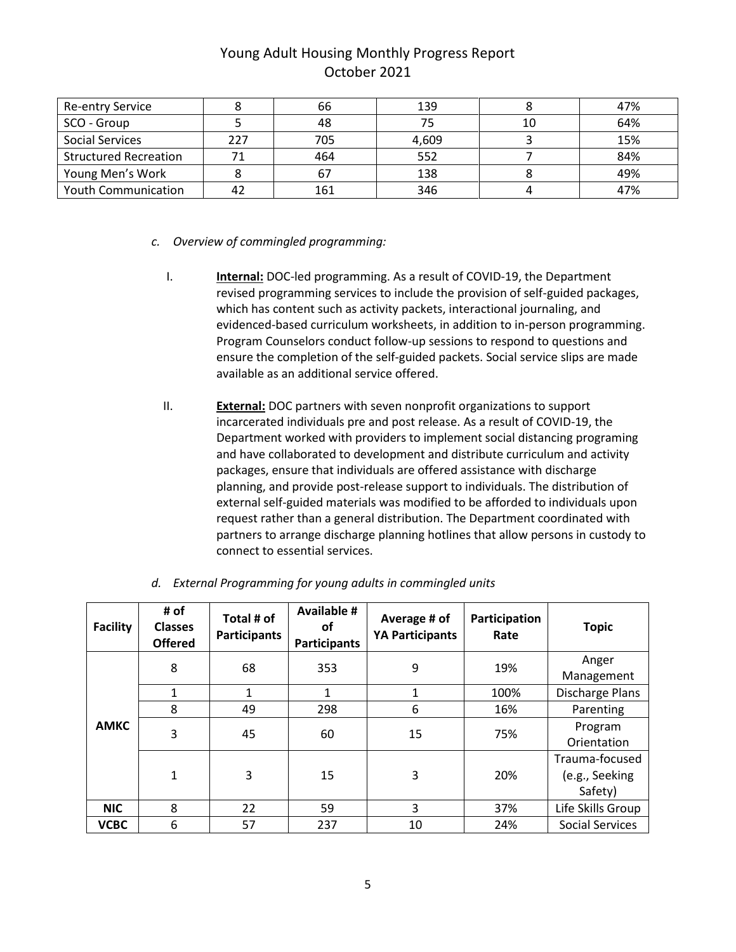| <b>Re-entry Service</b>      |     | 66  | 139   |    | 47% |
|------------------------------|-----|-----|-------|----|-----|
| SCO - Group                  |     | 48  | 75    | 10 | 64% |
| <b>Social Services</b>       | 227 | 705 | 4,609 |    | 15% |
| <b>Structured Recreation</b> |     | 464 | 552   |    | 84% |
| Young Men's Work             |     | 67  | 138   |    | 49% |
| <b>Youth Communication</b>   |     | 161 | 346   |    | 47% |

- *c. Overview of commingled programming:*
	- I. **Internal:** DOC-led programming. As a result of COVID-19, the Department revised programming services to include the provision of self-guided packages, which has content such as activity packets, interactional journaling, and evidenced-based curriculum worksheets, in addition to in-person programming. Program Counselors conduct follow-up sessions to respond to questions and ensure the completion of the self-guided packets. Social service slips are made available as an additional service offered.
	- II. **External:** DOC partners with seven nonprofit organizations to support incarcerated individuals pre and post release. As a result of COVID-19, the Department worked with providers to implement social distancing programing and have collaborated to development and distribute curriculum and activity packages, ensure that individuals are offered assistance with discharge planning, and provide post-release support to individuals. The distribution of external self-guided materials was modified to be afforded to individuals upon request rather than a general distribution. The Department coordinated with partners to arrange discharge planning hotlines that allow persons in custody to connect to essential services.

| <b>Facility</b> | # of<br><b>Classes</b><br><b>Offered</b> | Total # of<br><b>Participants</b> | <b>Available #</b><br>οf<br><b>Participants</b> | Average # of<br><b>YA Participants</b> | Participation<br>Rate | <b>Topic</b>                                |
|-----------------|------------------------------------------|-----------------------------------|-------------------------------------------------|----------------------------------------|-----------------------|---------------------------------------------|
|                 | 8                                        | 68                                | 353                                             | 9                                      | 19%                   | Anger<br>Management                         |
|                 | 1                                        | $\mathbf{1}$                      | $\mathbf{1}$                                    | 1                                      | 100%                  | Discharge Plans                             |
|                 | 8                                        | 49                                | 298                                             | 6                                      | 16%                   | Parenting                                   |
| <b>AMKC</b>     | 3                                        | 45                                | 60                                              | 15                                     | 75%                   | Program<br>Orientation                      |
|                 | 1                                        | 3                                 | 15                                              | 3                                      | 20%                   | Trauma-focused<br>(e.g., Seeking<br>Safety) |
| <b>NIC</b>      | 8                                        | 22                                | 59                                              | 3                                      | 37%                   | Life Skills Group                           |
| <b>VCBC</b>     | 6                                        | 57                                | 237                                             | 10                                     | 24%                   | <b>Social Services</b>                      |

*d. External Programming for young adults in commingled units*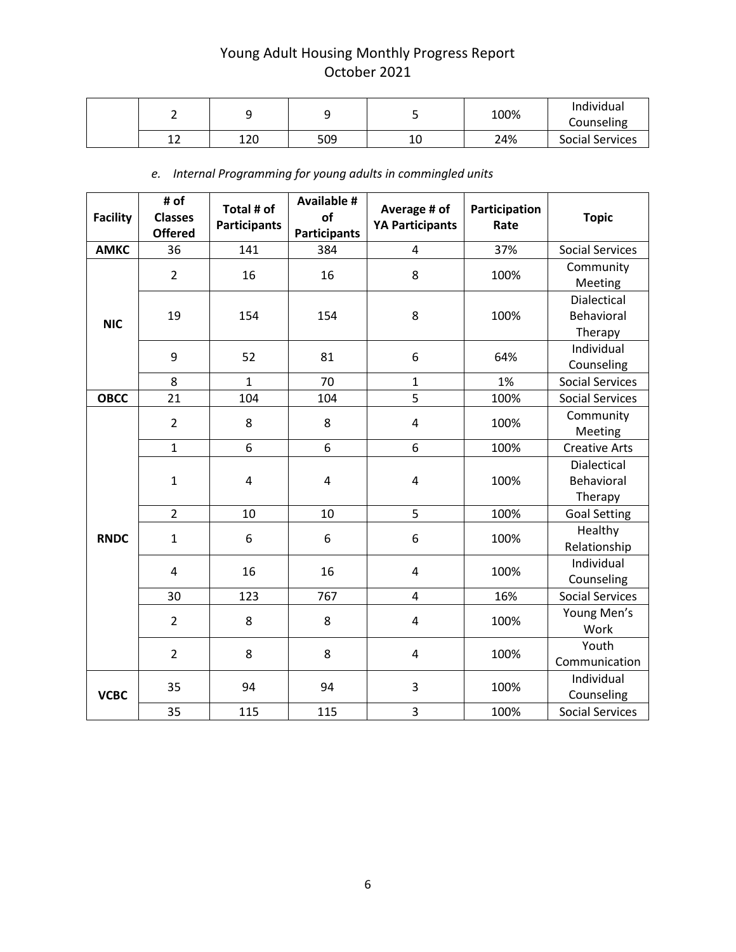|              |     |     |    | 100% | Individual<br>Counseling |
|--------------|-----|-----|----|------|--------------------------|
| $\sim$<br>-- | 120 | 509 | 10 | 24%  | Social Services          |

*e. Internal Programming for young adults in commingled units*

| <b>Facility</b> | # of<br><b>Classes</b><br><b>Offered</b> | Total # of<br><b>Participants</b> | <b>Available #</b><br>of<br><b>Participants</b> | Average # of<br><b>YA Participants</b> | Participation<br>Rate | <b>Topic</b>                                |
|-----------------|------------------------------------------|-----------------------------------|-------------------------------------------------|----------------------------------------|-----------------------|---------------------------------------------|
| <b>AMKC</b>     | 36                                       | 141                               | 384                                             | 4                                      | 37%                   | <b>Social Services</b>                      |
|                 | $\overline{2}$                           | 16                                | 16                                              | 8                                      | 100%                  | Community<br>Meeting                        |
| <b>NIC</b>      | 19                                       | 154                               | 154                                             | 8                                      | 100%                  | Dialectical<br>Behavioral<br>Therapy        |
|                 | 9                                        | 52                                | 81                                              | 6                                      | 64%                   | Individual<br>Counseling                    |
|                 | 8                                        | $\mathbf{1}$                      | 70                                              | $\mathbf{1}$                           | 1%                    | <b>Social Services</b>                      |
| <b>OBCC</b>     | 21                                       | 104                               | 104                                             | 5                                      | 100%                  | <b>Social Services</b>                      |
|                 | $\overline{2}$                           | 8                                 | 8                                               | 4                                      | 100%                  | Community<br>Meeting                        |
|                 | $\mathbf{1}$                             | 6                                 | 6                                               | 6                                      | 100%                  | <b>Creative Arts</b>                        |
|                 | $\mathbf{1}$                             | $\overline{4}$                    | 4                                               | $\overline{\mathbf{4}}$                | 100%                  | <b>Dialectical</b><br>Behavioral<br>Therapy |
|                 | $\overline{2}$                           | 10                                | 10                                              | 5                                      | 100%                  | <b>Goal Setting</b>                         |
| <b>RNDC</b>     | $\mathbf{1}$                             | 6                                 | 6                                               | 6                                      | 100%                  | Healthy<br>Relationship                     |
|                 | 4                                        | 16                                | 16                                              | 4                                      | 100%                  | Individual<br>Counseling                    |
|                 | 30                                       | 123                               | 767                                             | $\overline{\mathbf{4}}$                | 16%                   | <b>Social Services</b>                      |
|                 | $\overline{2}$                           | 8                                 | 8                                               | $\overline{\mathbf{4}}$                | 100%                  | Young Men's<br>Work                         |
|                 | $\overline{2}$                           | 8                                 | 8                                               | $\overline{\mathbf{4}}$                | 100%                  | Youth<br>Communication                      |
| <b>VCBC</b>     | 35                                       | 94                                | 94                                              | 3                                      | 100%                  | Individual<br>Counseling                    |
|                 | 35                                       | 115                               | 115                                             | 3                                      | 100%                  | <b>Social Services</b>                      |